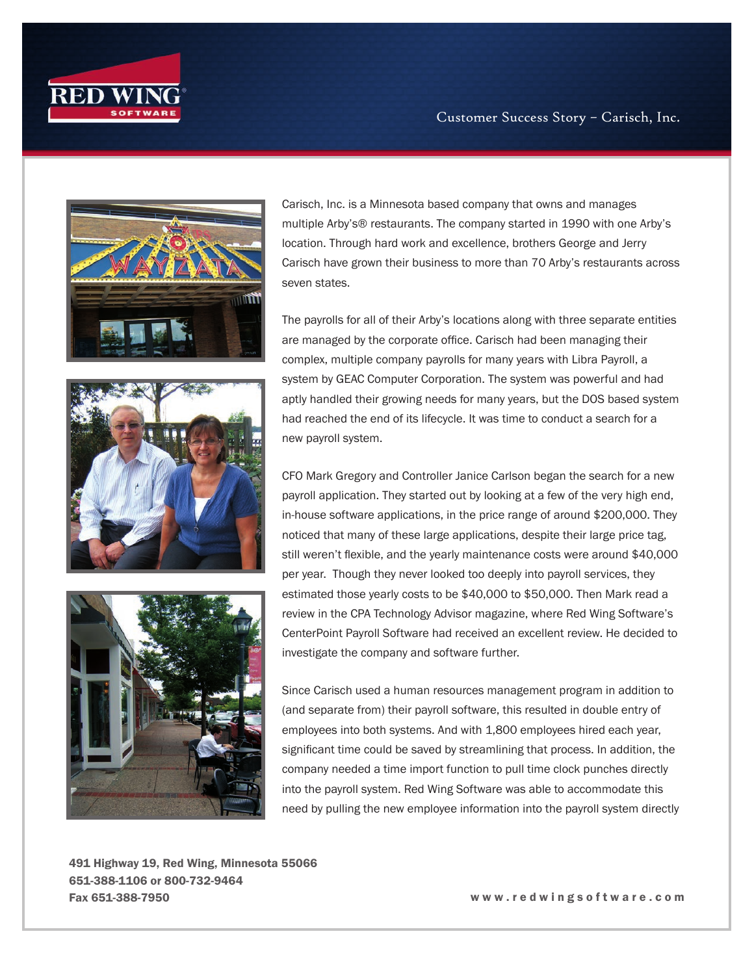

Customer Success Story – Carisch, Inc.



Carisch, Inc. is a Minnesota based company that owns and manages multiple Arby's® restaurants. The company started in 1990 with one Arby's location. Through hard work and excellence, brothers George and Jerry Carisch have grown their business to more than 70 Arby's restaurants across seven states.

The payrolls for all of their Arby's locations along with three separate entities are managed by the corporate office. Carisch had been managing their complex, multiple company payrolls for many years with Libra Payroll, a system by GEAC Computer Corporation. The system was powerful and had aptly handled their growing needs for many years, but the DOS based system had reached the end of its lifecycle. It was time to conduct a search for a new payroll system.

CFO Mark Gregory and Controller Janice Carlson began the search for a new payroll application. They started out by looking at a few of the very high end, in-house software applications, in the price range of around \$200,000. They noticed that many of these large applications, despite their large price tag, still weren't flexible, and the yearly maintenance costs were around \$40,000 per year. Though they never looked too deeply into payroll services, they estimated those yearly costs to be \$40,000 to \$50,000. Then Mark read a review in the CPA Technology Advisor magazine, where Red Wing Software's CenterPoint Payroll Software had received an excellent review. He decided to investigate the company and software further.

Since Carisch used a human resources management program in addition to (and separate from) their payroll software, this resulted in double entry of employees into both systems. And with 1,800 employees hired each year, significant time could be saved by streamlining that process. In addition, the company needed a time import function to pull time clock punches directly into the payroll system. Red Wing Software was able to accommodate this need by pulling the new employee information into the payroll system directly

491 Highway 19, Red Wing, Minnesota 55066 651-388-1106 or 800-732-9464 Fax 651-388-7950 w w w . r e d w i n g s o f t w a r e . c o m